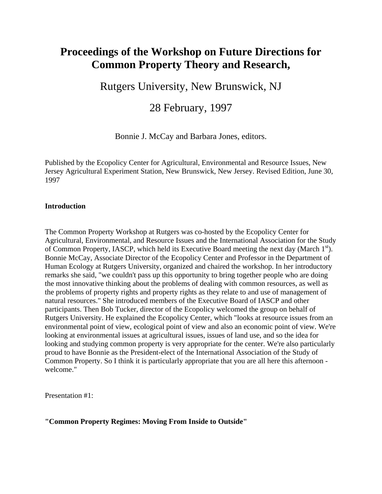# **Proceedings of the Workshop on Future Directions for Common Property Theory and Research,**

Rutgers University, New Brunswick, NJ

# 28 February, 1997

Bonnie J. McCay and Barbara Jones, editors.

Published by the Ecopolicy Center for Agricultural, Environmental and Resource Issues, New Jersey Agricultural Experiment Station, New Brunswick, New Jersey. Revised Edition, June 30, 1997

#### **Introduction**

The Common Property Workshop at Rutgers was co-hosted by the Ecopolicy Center for Agricultural, Environmental, and Resource Issues and the International Association for the Study of Common Property, IASCP, which held its Executive Board meeting the next day (March 1<sup>st</sup>). Bonnie McCay, Associate Director of the Ecopolicy Center and Professor in the Department of Human Ecology at Rutgers University, organized and chaired the workshop. In her introductory remarks she said, "we couldn't pass up this opportunity to bring together people who are doing the most innovative thinking about the problems of dealing with common resources, as well as the problems of property rights and property rights as they relate to and use of management of natural resources." She introduced members of the Executive Board of IASCP and other participants. Then Bob Tucker, director of the Ecopolicy welcomed the group on behalf of Rutgers University. He explained the Ecopolicy Center, which "looks at resource issues from an environmental point of view, ecological point of view and also an economic point of view. We're looking at environmental issues at agricultural issues, issues of land use, and so the idea for looking and studying common property is very appropriate for the center. We're also particularly proud to have Bonnie as the President-elect of the International Association of the Study of Common Property. So I think it is particularly appropriate that you are all here this afternoon welcome."

Presentation #1:

**"Common Property Regimes: Moving From Inside to Outside"**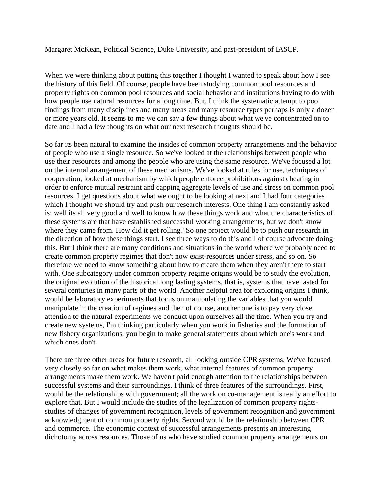Margaret McKean, Political Science, Duke University, and past-president of IASCP.

When we were thinking about putting this together I thought I wanted to speak about how I see the history of this field. Of course, people have been studying common pool resources and property rights on common pool resources and social behavior and institutions having to do with how people use natural resources for a long time. But, I think the systematic attempt to pool findings from many disciplines and many areas and many resource types perhaps is only a dozen or more years old. It seems to me we can say a few things about what we've concentrated on to date and I had a few thoughts on what our next research thoughts should be.

So far its been natural to examine the insides of common property arrangements and the behavior of people who use a single resource. So we've looked at the relationships between people who use their resources and among the people who are using the same resource. We've focused a lot on the internal arrangement of these mechanisms. We've looked at rules for use, techniques of cooperation, looked at mechanism by which people enforce prohibitions against cheating in order to enforce mutual restraint and capping aggregate levels of use and stress on common pool resources. I get questions about what we ought to be looking at next and I had four categories which I thought we should try and push our research interests. One thing I am constantly asked is: well its all very good and well to know how these things work and what the characteristics of these systems are that have established successful working arrangements, but we don't know where they came from. How did it get rolling? So one project would be to push our research in the direction of how these things start. I see three ways to do this and I of course advocate doing this. But I think there are many conditions and situations in the world where we probably need to create common property regimes that don't now exist-resources under stress, and so on. So therefore we need to know something about how to create them when they aren't there to start with. One subcategory under common property regime origins would be to study the evolution, the original evolution of the historical long lasting systems, that is, systems that have lasted for several centuries in many parts of the world. Another helpful area for exploring origins I think, would be laboratory experiments that focus on manipulating the variables that you would manipulate in the creation of regimes and then of course, another one is to pay very close attention to the natural experiments we conduct upon ourselves all the time. When you try and create new systems, I'm thinking particularly when you work in fisheries and the formation of new fishery organizations, you begin to make general statements about which one's work and which ones don't.

There are three other areas for future research, all looking outside CPR systems. We've focused very closely so far on what makes them work, what internal features of common property arrangements make them work. We haven't paid enough attention to the relationships between successful systems and their surroundings. I think of three features of the surroundings. First, would be the relationships with government; all the work on co-management is really an effort to explore that. But I would include the studies of the legalization of common property rightsstudies of changes of government recognition, levels of government recognition and government acknowledgment of common property rights. Second would be the relationship between CPR and commerce. The economic context of successful arrangements presents an interesting dichotomy across resources. Those of us who have studied common property arrangements on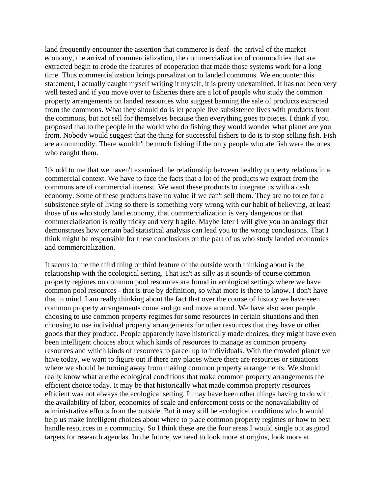land frequently encounter the assertion that commerce is deaf- the arrival of the market economy, the arrival of commercialization, the commercialization of commodities that are extracted begin to erode the features of cooperation that made those systems work for a long time. Thus commercialization brings pursalization to landed commons. We encounter this statement, I actually caught myself writing it myself, it is pretty unexamined. It has not been very well tested and if you move over to fisheries there are a lot of people who study the common property arrangements on landed resources who suggest banning the sale of products extracted from the commons. What they should do is let people live subsistence lives with products from the commons, but not sell for themselves because then everything goes to pieces. I think if you proposed that to the people in the world who do fishing they would wonder what planet are you from. Nobody would suggest that the thing for successful fishers to do is to stop selling fish. Fish are a commodity. There wouldn't be much fishing if the only people who ate fish were the ones who caught them.

It's odd to me that we haven't examined the relationship between healthy property relations in a commercial context. We have to face the facts that a lot of the products we extract from the commons are of commercial interest. We want these products to integrate us with a cash economy. Some of these products have no value if we can't sell them. They are no force for a subsistence style of living so there is something very wrong with our habit of believing, at least those of us who study land economy, that commercialization is very dangerous or that commercialization is really tricky and very fragile. Maybe later I will give you an analogy that demonstrates how certain bad statistical analysis can lead you to the wrong conclusions. That I think might be responsible for these conclusions on the part of us who study landed economies and commercialization.

It seems to me the third thing or third feature of the outside worth thinking about is the relationship with the ecological setting. That isn't as silly as it sounds-of course common property regimes on common pool resources are found in ecological settings where we have common pool resources - that is true by definition, so what more is there to know. I don't have that in mind. I am really thinking about the fact that over the course of history we have seen common property arrangements come and go and move around. We have also seen people choosing to use common property regimes for some resources in certain situations and then choosing to use individual property arrangements for other resources that they have or other goods that they produce. People apparently have historically made choices, they might have even been intelligent choices about which kinds of resources to manage as common property resources and which kinds of resources to parcel up to individuals. With the crowded planet we have today, we want to figure out if there any places where there are resources or situations where we should be turning away from making common property arrangements. We should really know what are the ecological conditions that make common property arrangements the efficient choice today. It may be that historically what made common property resources efficient was not always the ecological setting. It may have been other things having to do with the availability of labor, economies of scale and enforcement costs or the nonavailability of administrative efforts from the outside. But it may still be ecological conditions which would help us make intelligent choices about where to place common property regimes or how to best handle resources in a community. So I think these are the four areas I would single out as good targets for research agendas. In the future, we need to look more at origins, look more at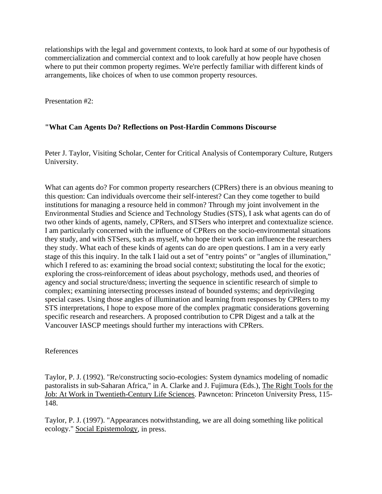relationships with the legal and government contexts, to look hard at some of our hypothesis of commercialization and commercial context and to look carefully at how people have chosen where to put their common property regimes. We're perfectly familiar with different kinds of arrangements, like choices of when to use common property resources.

Presentation #2:

#### **"What Can Agents Do? Reflections on Post-Hardin Commons Discourse**

Peter J. Taylor, Visiting Scholar, Center for Critical Analysis of Contemporary Culture, Rutgers University.

What can agents do? For common property researchers (CPRers) there is an obvious meaning to this question: Can individuals overcome their self-interest? Can they come together to build institutions for managing a resource held in common? Through my joint involvement in the Environmental Studies and Science and Technology Studies (STS), I ask what agents can do of two other kinds of agents, namely, CPRers, and STSers who interpret and contextualize science. I am particularly concerned with the influence of CPRers on the socio-environmental situations they study, and with STSers, such as myself, who hope their work can influence the researchers they study. What each of these kinds of agents can do are open questions. I am in a very early stage of this this inquiry. In the talk I laid out a set of "entry points" or "angles of illumination," which I refered to as: examining the broad social context; substituting the local for the exotic; exploring the cross-reinforcement of ideas about psychology, methods used, and theories of agency and social structure/dness; inverting the sequence in scientific research of simple to complex; examining intersecting processes instead of bounded systems; and deprivileging special cases. Using those angles of illumination and learning from responses by CPRers to my STS interpretations, I hope to expose more of the complex pragmatic considerations governing specific research and researchers. A proposed contribution to CPR Digest and a talk at the Vancouver IASCP meetings should further my interactions with CPRers.

#### References

Taylor, P. J. (1992). "Re/constructing socio-ecologies: System dynamics modeling of nomadic pastoralists in sub-Saharan Africa," in A. Clarke and J. Fujimura (Eds.), The Right Tools for the Job: At Work in Twentieth-Century Life Sciences. Pawnceton: Princeton University Press, 115- 148.

Taylor, P. J. (1997). "Appearances notwithstanding, we are all doing something like political ecology." Social Epistemology, in press.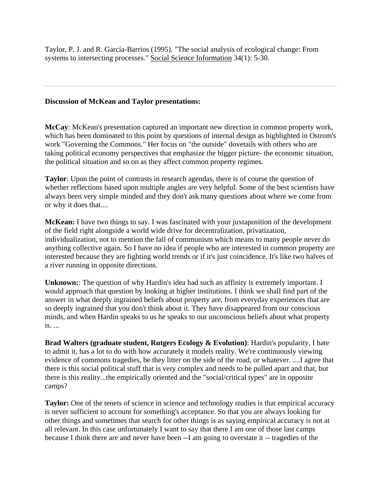Taylor, P. J. and R. García-Barrios (1995). "The social analysis of ecological change: From systems to intersecting processes." Social Science Information 34(1): 5-30.

#### **Discussion of McKean and Taylor presentations:**

**McCay**: McKean's presentation captured an important new direction in common property work, which has been dominated to this point by questions of internal design as highlighted in Ostrom's work "Governing the Commons." Her focus on "the outside" dovetails with others who are taking political economy perspectives that emphasize the bigger picture- the economic situation, the political situation and so on as they affect common property regimes.

**Taylor**: Upon the point of contrasts in research agendas, there is of course the question of whether reflections based upon multiple angles are very helpful. Some of the best scientists have always been very simple minded and they don't ask many questions about where we come from or why it does that....

**McKean:** I have two things to say. I was fascinated with your juxtaposition of the development of the field right alongside a world wide drive for decentralization, privatization, individualization, not to mention the fall of communism which means to many people never do anything collective again. So I have no idea if people who are interested in common property are interested because they are fighting world trends or if it's just coincidence. It's like two halves of a river running in opposite directions.

**Unknown:**: The question of why Hardin's idea had such an affinity is extremely important. I would approach that question by looking at higher institutions. I think we shall find part of the answer in what deeply ingrained beliefs about property are, from everyday experiences that are so deeply ingrained that you don't think about it. They have disappeared from our conscious minds, and when Hardin speaks to us he speaks to our unconscious beliefs about what property is. ...

**Brad Walters (graduate student, Rutgers Ecology & Evolution)**: Hardin's popularity, I hate to admit it, has a lot to do with how accurately it models reality. We're continuously viewing evidence of commons tragedies, be they litter on the side of the road, or whatever. ....I agree that there is this social political stuff that is very complex and needs to be pulled apart and that, but there is this reality...the empirically oriented and the "social/critical types" are in opposite camps?

Taylor: One of the tenets of science in science and technology studies is that empirical accuracy is never sufficient to account for something's acceptance. So that you are always looking for other things and sometimes that search for other things is as saying empirical accuracy is not at all relevant. In this case unfortunately I want to say that there I am one of those last camps because I think there are and never have been --I am going to overstate it -- tragedies of the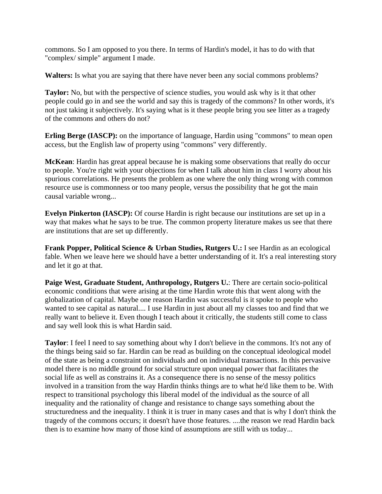commons. So I am opposed to you there. In terms of Hardin's model, it has to do with that "complex/ simple" argument I made.

**Walters:** Is what you are saying that there have never been any social commons problems?

**Taylor:** No, but with the perspective of science studies, you would ask why is it that other people could go in and see the world and say this is tragedy of the commons? In other words, it's not just taking it subjectively. It's saying what is it these people bring you see litter as a tragedy of the commons and others do not?

**Erling Berge (IASCP):** on the importance of language, Hardin using "commons" to mean open access, but the English law of property using "commons" very differently.

**McKean**: Hardin has great appeal because he is making some observations that really do occur to people. You're right with your objections for when I talk about him in class I worry about his spurious correlations. He presents the problem as one where the only thing wrong with common resource use is commonness or too many people, versus the possibility that he got the main causal variable wrong...

**Evelyn Pinkerton (IASCP):** Of course Hardin is right because our institutions are set up in a way that makes what he says to be true. The common property literature makes us see that there are institutions that are set up differently.

**Frank Popper, Political Science & Urban Studies, Rutgers U.:** I see Hardin as an ecological fable. When we leave here we should have a better understanding of it. It's a real interesting story and let it go at that.

**Paige West, Graduate Student, Anthropology, Rutgers U.**: There are certain socio-political economic conditions that were arising at the time Hardin wrote this that went along with the globalization of capital. Maybe one reason Hardin was successful is it spoke to people who wanted to see capital as natural.... I use Hardin in just about all my classes too and find that we really want to believe it. Even though I teach about it critically, the students still come to class and say well look this is what Hardin said.

**Taylor**: I feel I need to say something about why I don't believe in the commons. It's not any of the things being said so far. Hardin can be read as building on the conceptual ideological model of the state as being a constraint on individuals and on individual transactions. In this pervasive model there is no middle ground for social structure upon unequal power that facilitates the social life as well as constrains it. As a consequence there is no sense of the messy politics involved in a transition from the way Hardin thinks things are to what he'd like them to be. With respect to transitional psychology this liberal model of the individual as the source of all inequality and the rationality of change and resistance to change says something about the structuredness and the inequality. I think it is truer in many cases and that is why I don't think the tragedy of the commons occurs; it doesn't have those features. ....the reason we read Hardin back then is to examine how many of those kind of assumptions are still with us today...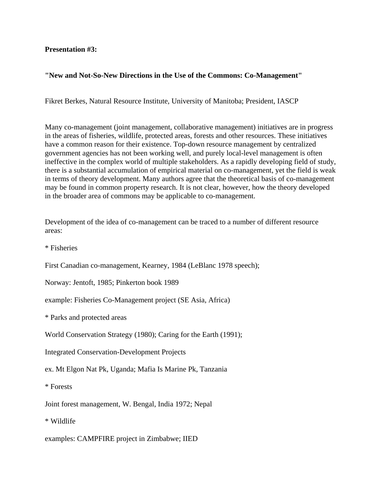#### **Presentation #3:**

## **"New and Not-So-New Directions in the Use of the Commons: Co-Management"**

Fikret Berkes, Natural Resource Institute, University of Manitoba; President, IASCP

Many co-management (joint management, collaborative management) initiatives are in progress in the areas of fisheries, wildlife, protected areas, forests and other resources. These initiatives have a common reason for their existence. Top-down resource management by centralized government agencies has not been working well, and purely local-level management is often ineffective in the complex world of multiple stakeholders. As a rapidly developing field of study, there is a substantial accumulation of empirical material on co-management, yet the field is weak in terms of theory development. Many authors agree that the theoretical basis of co-management may be found in common property research. It is not clear, however, how the theory developed in the broader area of commons may be applicable to co-management.

Development of the idea of co-management can be traced to a number of different resource areas:

\* Fisheries

First Canadian co-management, Kearney, 1984 (LeBlanc 1978 speech);

Norway: Jentoft, 1985; Pinkerton book 1989

example: Fisheries Co-Management project (SE Asia, Africa)

\* Parks and protected areas

World Conservation Strategy (1980); Caring for the Earth (1991);

Integrated Conservation-Development Projects

ex. Mt Elgon Nat Pk, Uganda; Mafia Is Marine Pk, Tanzania

\* Forests

Joint forest management, W. Bengal, India 1972; Nepal

\* Wildlife

examples: CAMPFIRE project in Zimbabwe; IIED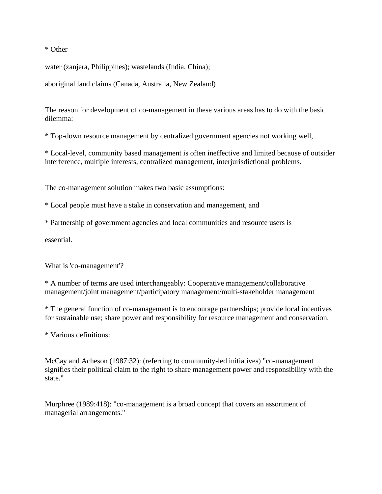\* Other

water (zanjera, Philippines); wastelands (India, China);

aboriginal land claims (Canada, Australia, New Zealand)

The reason for development of co-management in these various areas has to do with the basic dilemma:

\* Top-down resource management by centralized government agencies not working well,

\* Local-level, community based management is often ineffective and limited because of outsider interference, multiple interests, centralized management, interjurisdictional problems.

The co-management solution makes two basic assumptions:

\* Local people must have a stake in conservation and management, and

\* Partnership of government agencies and local communities and resource users is

essential.

What is 'co-management'?

\* A number of terms are used interchangeably: Cooperative management/collaborative management/joint management/participatory management/multi-stakeholder management

\* The general function of co-management is to encourage partnerships; provide local incentives for sustainable use; share power and responsibility for resource management and conservation.

\* Various definitions:

McCay and Acheson (1987:32): (referring to community-led initiatives) "co-management signifies their political claim to the right to share management power and responsibility with the state."

Murphree (1989:418): "co-management is a broad concept that covers an assortment of managerial arrangements."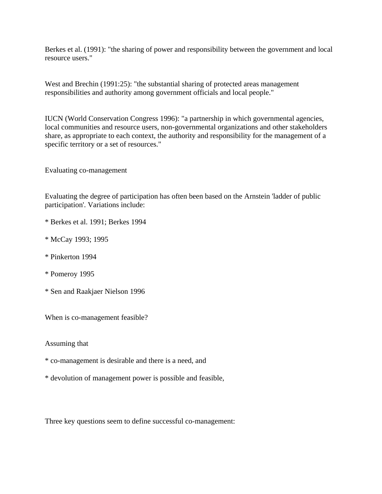Berkes et al. (1991): "the sharing of power and responsibility between the government and local resource users."

West and Brechin (1991:25): "the substantial sharing of protected areas management responsibilities and authority among government officials and local people."

IUCN (World Conservation Congress 1996): "a partnership in which governmental agencies, local communities and resource users, non-governmental organizations and other stakeholders share, as appropriate to each context, the authority and responsibility for the management of a specific territory or a set of resources."

Evaluating co-management

Evaluating the degree of participation has often been based on the Arnstein 'ladder of public participation'. Variations include:

- \* Berkes et al. 1991; Berkes 1994
- \* McCay 1993; 1995
- \* Pinkerton 1994
- \* Pomeroy 1995
- \* Sen and Raakjaer Nielson 1996

When is co-management feasible?

Assuming that

- \* co-management is desirable and there is a need, and
- \* devolution of management power is possible and feasible,

Three key questions seem to define successful co-management: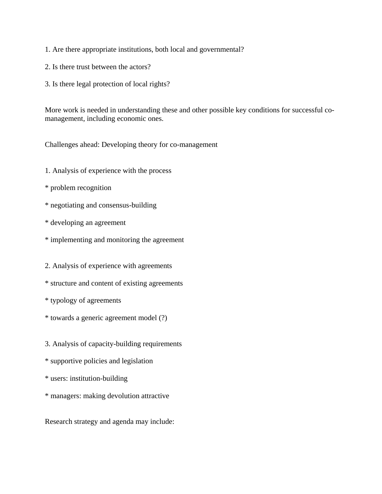- 1. Are there appropriate institutions, both local and governmental?
- 2. Is there trust between the actors?
- 3. Is there legal protection of local rights?

More work is needed in understanding these and other possible key conditions for successful comanagement, including economic ones.

Challenges ahead: Developing theory for co-management

- 1. Analysis of experience with the process
- \* problem recognition
- \* negotiating and consensus-building
- \* developing an agreement
- \* implementing and monitoring the agreement

2. Analysis of experience with agreements

- \* structure and content of existing agreements
- \* typology of agreements
- \* towards a generic agreement model (?)
- 3. Analysis of capacity-building requirements
- \* supportive policies and legislation
- \* users: institution-building
- \* managers: making devolution attractive

Research strategy and agenda may include: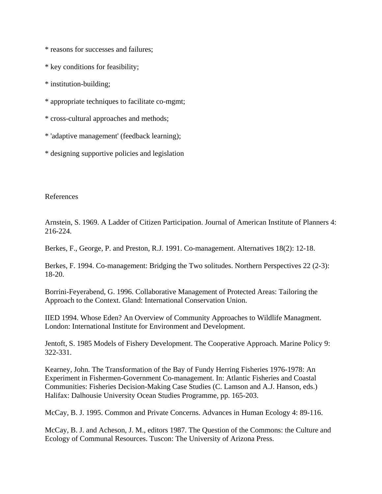\* reasons for successes and failures;

\* key conditions for feasibility;

\* institution-building;

\* appropriate techniques to facilitate co-mgmt;

\* cross-cultural approaches and methods;

\* 'adaptive management' (feedback learning);

\* designing supportive policies and legislation

References

Arnstein, S. 1969. A Ladder of Citizen Participation. Journal of American Institute of Planners 4: 216-224.

Berkes, F., George, P. and Preston, R.J. 1991. Co-management. Alternatives 18(2): 12-18.

Berkes, F. 1994. Co-management: Bridging the Two solitudes. Northern Perspectives 22 (2-3): 18-20.

Borrini-Feyerabend, G. 1996. Collaborative Management of Protected Areas: Tailoring the Approach to the Context. Gland: International Conservation Union.

IIED 1994. Whose Eden? An Overview of Community Approaches to Wildlife Managment. London: International Institute for Environment and Development.

Jentoft, S. 1985 Models of Fishery Development. The Cooperative Approach. Marine Policy 9: 322-331.

Kearney, John. The Transformation of the Bay of Fundy Herring Fisheries 1976-1978: An Experiment in Fishermen-Government Co-management. In: Atlantic Fisheries and Coastal Communities: Fisheries Decision-Making Case Studies (C. Lamson and A.J. Hanson, eds.) Halifax: Dalhousie University Ocean Studies Programme, pp. 165-203.

McCay, B. J. 1995. Common and Private Concerns. Advances in Human Ecology 4: 89-116.

McCay, B. J. and Acheson, J. M., editors 1987. The Question of the Commons: the Culture and Ecology of Communal Resources. Tuscon: The University of Arizona Press.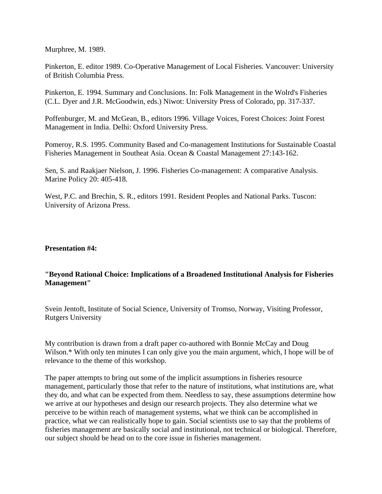Murphree, M. 1989.

Pinkerton, E. editor 1989. Co-Operative Management of Local Fisheries. Vancouver: University of British Columbia Press.

Pinkerton, E. 1994. Summary and Conclusions. In: Folk Management in the Wolrd's Fisheries (C.L. Dyer and J.R. McGoodwin, eds.) Niwot: University Press of Colorado, pp. 317-337.

Poffenburger, M. and McGean, B., editors 1996. Village Voices, Forest Choices: Joint Forest Management in India. Delhi: Oxford University Press.

Pomeroy, R.S. 1995. Community Based and Co-management Institutions for Sustainable Coastal Fisheries Management in Southeat Asia. Ocean & Coastal Management 27:143-162.

Sen, S. and Raakjaer Nielson, J. 1996. Fisheries Co-management: A comparative Analysis. Marine Policy 20: 405-418.

West, P.C. and Brechin, S. R., editors 1991. Resident Peoples and National Parks. Tuscon: University of Arizona Press.

#### **Presentation #4:**

# **"Beyond Rational Choice: Implications of a Broadened Institutional Analysis for Fisheries Management"**

Svein Jentoft, Institute of Social Science, University of Tromso, Norway, Visiting Professor, Rutgers University

My contribution is drawn from a draft paper co-authored with Bonnie McCay and Doug Wilson.\* With only ten minutes I can only give you the main argument, which, I hope will be of relevance to the theme of this workshop.

The paper attempts to bring out some of the implicit assumptions in fisheries resource management, particularly those that refer to the nature of institutions, what institutions are, what they do, and what can be expected from them. Needless to say, these assumptions determine how we arrive at our hypotheses and design our research projects. They also determine what we perceive to be within reach of management systems, what we think can be accomplished in practice, what we can realistically hope to gain. Social scientists use to say that the problems of fisheries management are basically social and institutional, not technical or biological. Therefore, our subject should be head on to the core issue in fisheries management.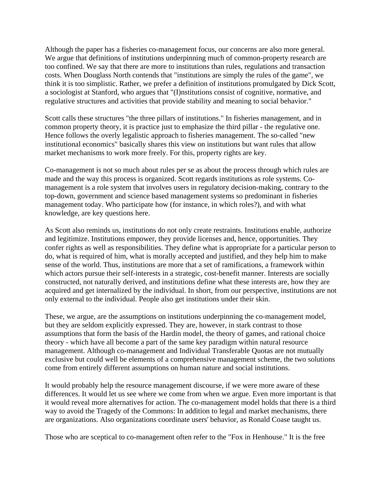Although the paper has a fisheries co-management focus, our concerns are also more general. We argue that definitions of institutions underpinning much of common-property research are too confined. We say that there are more to institutions than rules, regulations and transaction costs. When Douglass North contends that "institutions are simply the rules of the game", we think it is too simplistic. Rather, we prefer a definition of institutions promulgated by Dick Scott, a sociologist at Stanford, who argues that "(I)nstitutions consist of cognitive, normative, and regulative structures and activities that provide stability and meaning to social behavior."

Scott calls these structures "the three pillars of institutions." In fisheries management, and in common property theory, it is practice just to emphasize the third pillar - the regulative one. Hence follows the overly legalistic approach to fisheries management. The so-called "new institutional economics" basically shares this view on institutions but want rules that allow market mechanisms to work more freely. For this, property rights are key.

Co-management is not so much about rules per se as about the process through which rules are made and the way this process is organized. Scott regards institutions as role systems. Comanagement is a role system that involves users in regulatory decision-making, contrary to the top-down, government and science based management systems so predominant in fisheries management today. Who participate how (for instance, in which roles?), and with what knowledge, are key questions here.

As Scott also reminds us, institutions do not only create restraints. Institutions enable, authorize and legitimize. Institutions empower, they provide licenses and, hence, opportunities. They confer rights as well as responsibilities. They define what is appropriate for a particular person to do, what is required of him, what is morally accepted and justified, and they help him to make sense of the world. Thus, institutions are more that a set of ramifications, a framework within which actors pursue their self-interests in a strategic, cost-benefit manner. Interests are socially constructed, not naturally derived, and institutions define what these interests are, how they are acquired and get internalized by the individual. In short, from our perspective, institutions are not only external to the individual. People also get institutions under their skin.

These, we argue, are the assumptions on institutions underpinning the co-management model, but they are seldom explicitly expressed. They are, however, in stark contrast to those assumptions that form the basis of the Hardin model, the theory of games, and rational choice theory - which have all become a part of the same key paradigm within natural resource management. Although co-management and Individual Transferable Quotas are not mutually exclusive but could well be elements of a comprehensive management scheme, the two solutions come from entirely different assumptions on human nature and social institutions.

It would probably help the resource management discourse, if we were more aware of these differences. It would let us see where we come from when we argue. Even more important is that it would reveal more alternatives for action. The co-management model holds that there is a third way to avoid the Tragedy of the Commons: In addition to legal and market mechanisms, there are organizations. Also organizations coordinate users' behavior, as Ronald Coase taught us.

Those who are sceptical to co-management often refer to the "Fox in Henhouse." It is the free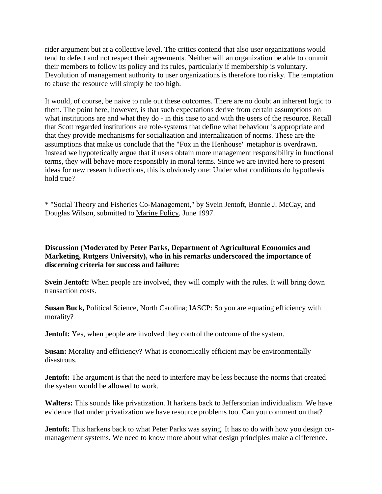rider argument but at a collective level. The critics contend that also user organizations would tend to defect and not respect their agreements. Neither will an organization be able to commit their members to follow its policy and its rules, particularly if membership is voluntary. Devolution of management authority to user organizations is therefore too risky. The temptation to abuse the resource will simply be too high.

It would, of course, be naive to rule out these outcomes. There are no doubt an inherent logic to them. The point here, however, is that such expectations derive from certain assumptions on what institutions are and what they do - in this case to and with the users of the resource. Recall that Scott regarded institutions are role-systems that define what behaviour is appropriate and that they provide mechanisms for socialization and internalization of norms. These are the assumptions that make us conclude that the "Fox in the Henhouse" metaphor is overdrawn. Instead we hypotetically argue that if users obtain more management responsibility in functional terms, they will behave more responsibly in moral terms. Since we are invited here to present ideas for new research directions, this is obviously one: Under what conditions do hypothesis hold true?

\* "Social Theory and Fisheries Co-Management," by Svein Jentoft, Bonnie J. McCay, and Douglas Wilson, submitted to Marine Policy, June 1997.

**Discussion (Moderated by Peter Parks, Department of Agricultural Economics and Marketing, Rutgers University), who in his remarks underscored the importance of discerning criteria for success and failure:** 

**Svein Jentoft:** When people are involved, they will comply with the rules. It will bring down transaction costs.

**Susan Buck,** Political Science, North Carolina; IASCP: So you are equating efficiency with morality?

**Jentoft:** Yes, when people are involved they control the outcome of the system.

**Susan:** Morality and efficiency? What is economically efficient may be environmentally disastrous.

**Jentoft:** The argument is that the need to interfere may be less because the norms that created the system would be allowed to work.

**Walters:** This sounds like privatization. It harkens back to Jeffersonian individualism. We have evidence that under privatization we have resource problems too. Can you comment on that?

**Jentoft:** This harkens back to what Peter Parks was saying. It has to do with how you design comanagement systems. We need to know more about what design principles make a difference.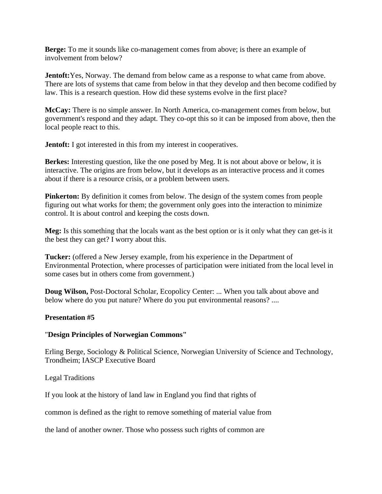**Berge:** To me it sounds like co-management comes from above; is there an example of involvement from below?

**Jentoft:** Yes, Norway. The demand from below came as a response to what came from above. There are lots of systems that came from below in that they develop and then become codified by law. This is a research question. How did these systems evolve in the first place?

**McCay:** There is no simple answer. In North America, co-management comes from below, but government's respond and they adapt. They co-opt this so it can be imposed from above, then the local people react to this.

**Jentoft:** I got interested in this from my interest in cooperatives.

**Berkes:** Interesting question, like the one posed by Meg. It is not about above or below, it is interactive. The origins are from below, but it develops as an interactive process and it comes about if there is a resource crisis, or a problem between users.

**Pinkerton:** By definition it comes from below. The design of the system comes from people figuring out what works for them; the government only goes into the interaction to minimize control. It is about control and keeping the costs down.

**Meg:** Is this something that the locals want as the best option or is it only what they can get-is it the best they can get? I worry about this.

**Tucker:** (offered a New Jersey example, from his experience in the Department of Environmental Protection, where processes of participation were initiated from the local level in some cases but in others come from government.)

**Doug Wilson,** Post-Doctoral Scholar, Ecopolicy Center: ... When you talk about above and below where do you put nature? Where do you put environmental reasons? ....

# **Presentation #5**

#### "**Design Principles of Norwegian Commons"**

Erling Berge, Sociology & Political Science, Norwegian University of Science and Technology, Trondheim; IASCP Executive Board

Legal Traditions

If you look at the history of land law in England you find that rights of

common is defined as the right to remove something of material value from

the land of another owner. Those who possess such rights of common are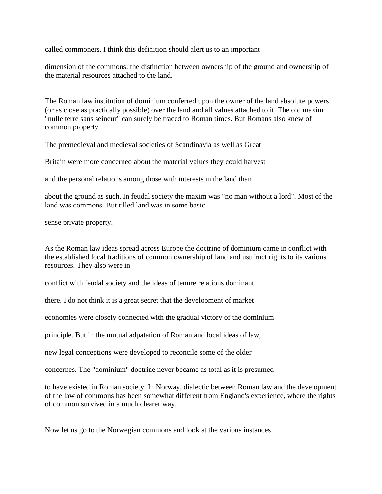called commoners. I think this definition should alert us to an important

dimension of the commons: the distinction between ownership of the ground and ownership of the material resources attached to the land.

The Roman law institution of dominium conferred upon the owner of the land absolute powers (or as close as practically possible) over the land and all values attached to it. The old maxim "nulle terre sans seineur" can surely be traced to Roman times. But Romans also knew of common property.

The premedieval and medieval societies of Scandinavia as well as Great

Britain were more concerned about the material values they could harvest

and the personal relations among those with interests in the land than

about the ground as such. In feudal society the maxim was "no man without a lord". Most of the land was commons. But tilled land was in some basic

sense private property.

As the Roman law ideas spread across Europe the doctrine of dominium came in conflict with the established local traditions of common ownership of land and usufruct rights to its various resources. They also were in

conflict with feudal society and the ideas of tenure relations dominant

there. I do not think it is a great secret that the development of market

economies were closely connected with the gradual victory of the dominium

principle. But in the mutual adpatation of Roman and local ideas of law,

new legal conceptions were developed to reconcile some of the older

concernes. The "dominium" doctrine never became as total as it is presumed

to have existed in Roman society. In Norway, dialectic between Roman law and the development of the law of commons has been somewhat different from England's experience, where the rights of common survived in a much clearer way.

Now let us go to the Norwegian commons and look at the various instances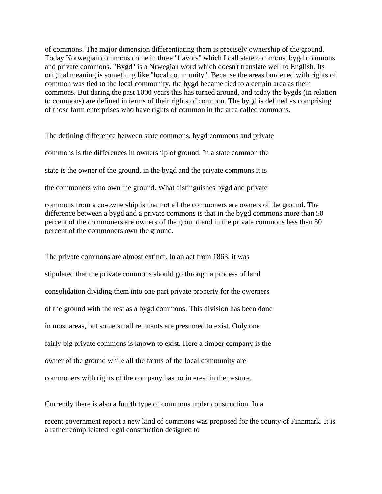of commons. The major dimension differentiating them is precisely ownership of the ground. Today Norwegian commons come in three "flavors" which I call state commons, bygd commons and private commons. "Bygd" is a Nrwegian word which doesn't translate well to English. Its original meaning is something like "local community". Because the areas burdened with rights of common was tied to the local community, the bygd became tied to a certain area as their commons. But during the past 1000 years this has turned around, and today the bygds (in relation to commons) are defined in terms of their rights of common. The bygd is defined as comprising of those farm enterprises who have rights of common in the area called commons.

The defining difference between state commons, bygd commons and private

commons is the differences in ownership of ground. In a state common the

state is the owner of the ground, in the bygd and the private commons it is

the commoners who own the ground. What distinguishes bygd and private

commons from a co-ownership is that not all the commoners are owners of the ground. The difference between a bygd and a private commons is that in the bygd commons more than 50 percent of the commoners are owners of the ground and in the private commons less than 50 percent of the commoners own the ground.

The private commons are almost extinct. In an act from 1863, it was stipulated that the private commons should go through a process of land consolidation dividing them into one part private property for the owerners of the ground with the rest as a bygd commons. This division has been done in most areas, but some small remnants are presumed to exist. Only one fairly big private commons is known to exist. Here a timber company is the owner of the ground while all the farms of the local community are commoners with rights of the company has no interest in the pasture.

Currently there is also a fourth type of commons under construction. In a

recent government report a new kind of commons was proposed for the county of Finnmark. It is a rather compliciated legal construction designed to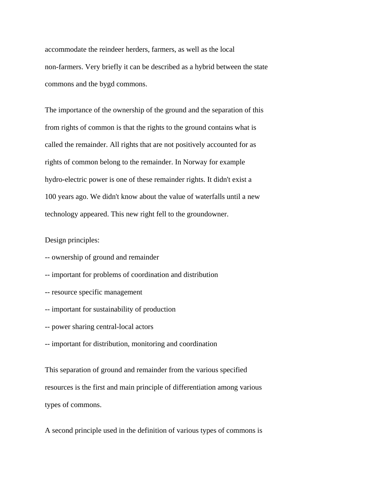accommodate the reindeer herders, farmers, as well as the local non-farmers. Very briefly it can be described as a hybrid between the state commons and the bygd commons.

The importance of the ownership of the ground and the separation of this from rights of common is that the rights to the ground contains what is called the remainder. All rights that are not positively accounted for as rights of common belong to the remainder. In Norway for example hydro-electric power is one of these remainder rights. It didn't exist a 100 years ago. We didn't know about the value of waterfalls until a new technology appeared. This new right fell to the groundowner.

Design principles:

- -- ownership of ground and remainder
- -- important for problems of coordination and distribution
- -- resource specific management
- -- important for sustainability of production
- -- power sharing central-local actors
- -- important for distribution, monitoring and coordination

This separation of ground and remainder from the various specified resources is the first and main principle of differentiation among various types of commons.

A second principle used in the definition of various types of commons is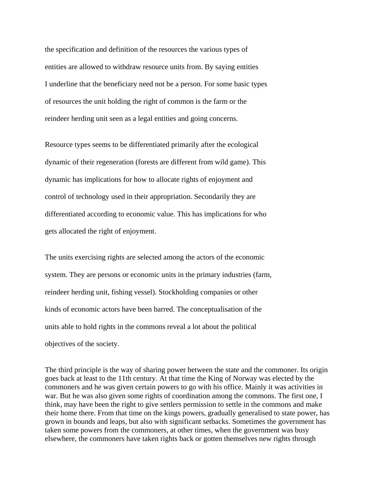the specification and definition of the resources the various types of entities are allowed to withdraw resource units from. By saying entities I underline that the beneficiary need not be a person. For some basic types of resources the unit holding the right of common is the farm or the reindeer herding unit seen as a legal entities and going concerns.

Resource types seems to be differentiated primarily after the ecological dynamic of their regeneration (forests are different from wild game). This dynamic has implications for how to allocate rights of enjoyment and control of technology used in their appropriation. Secondarily they are differentiated according to economic value. This has implications for who gets allocated the right of enjoyment.

The units exercising rights are selected among the actors of the economic system. They are persons or economic units in the primary industries (farm, reindeer herding unit, fishing vessel). Stockholding companies or other kinds of economic actors have been barred. The conceptualisation of the units able to hold rights in the commons reveal a lot about the political objectives of the society.

The third principle is the way of sharing power between the state and the commoner. Its origin goes back at least to the 11th century. At that time the King of Norway was elected by the commoners and he was given certain powers to go with his office. Mainly it was activities in war. But he was also given some rights of coordination among the commons. The first one, I think, may have been the right to give settlers permission to settle in the commons and make their home there. From that time on the kings powers, gradually generalised to state power, has grown in bounds and leaps, but also with significant setbacks. Sometimes the government has taken some powers from the commoners, at other times, when the government was busy elsewhere, the commoners have taken rights back or gotten themselves new rights through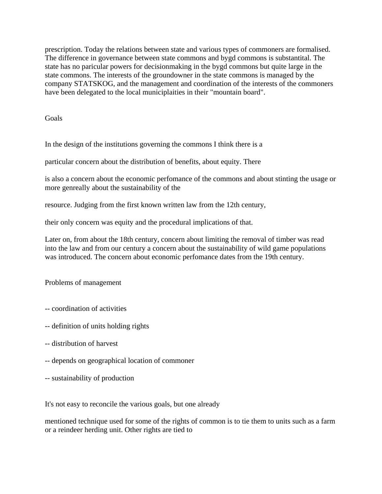prescription. Today the relations between state and various types of commoners are formalised. The difference in governance between state commons and bygd commons is substantital. The state has no paricular powers for decisionmaking in the bygd commons but quite large in the state commons. The interests of the groundowner in the state commons is managed by the company STATSKOG, and the management and coordination of the interests of the commoners have been delegated to the local municiplaities in their "mountain board".

Goals

In the design of the institutions governing the commons I think there is a

particular concern about the distribution of benefits, about equity. There

is also a concern about the economic perfomance of the commons and about stinting the usage or more genreally about the sustainability of the

resource. Judging from the first known written law from the 12th century,

their only concern was equity and the procedural implications of that.

Later on, from about the 18th century, concern about limiting the removal of timber was read into the law and from our century a concern about the sustainability of wild game populations was introduced. The concern about economic perfomance dates from the 19th century.

Problems of management

- -- coordination of activities
- -- definition of units holding rights
- -- distribution of harvest
- -- depends on geographical location of commoner
- -- sustainability of production

It's not easy to reconcile the various goals, but one already

mentioned technique used for some of the rights of common is to tie them to units such as a farm or a reindeer herding unit. Other rights are tied to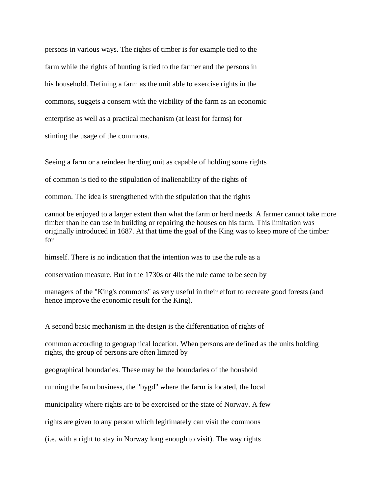persons in various ways. The rights of timber is for example tied to the farm while the rights of hunting is tied to the farmer and the persons in his household. Defining a farm as the unit able to exercise rights in the commons, suggets a consern with the viability of the farm as an economic enterprise as well as a practical mechanism (at least for farms) for stinting the usage of the commons.

Seeing a farm or a reindeer herding unit as capable of holding some rights

of common is tied to the stipulation of inalienability of the rights of

common. The idea is strengthened with the stipulation that the rights

cannot be enjoyed to a larger extent than what the farm or herd needs. A farmer cannot take more timber than he can use in building or repairing the houses on his farm. This limitation was originally introduced in 1687. At that time the goal of the King was to keep more of the timber for

himself. There is no indication that the intention was to use the rule as a

conservation measure. But in the 1730s or 40s the rule came to be seen by

managers of the "King's commons" as very useful in their effort to recreate good forests (and hence improve the economic result for the King).

A second basic mechanism in the design is the differentiation of rights of

common according to geographical location. When persons are defined as the units holding rights, the group of persons are often limited by

geographical boundaries. These may be the boundaries of the houshold

running the farm business, the "bygd" where the farm is located, the local

municipality where rights are to be exercised or the state of Norway. A few

rights are given to any person which legitimately can visit the commons

(i.e. with a right to stay in Norway long enough to visit). The way rights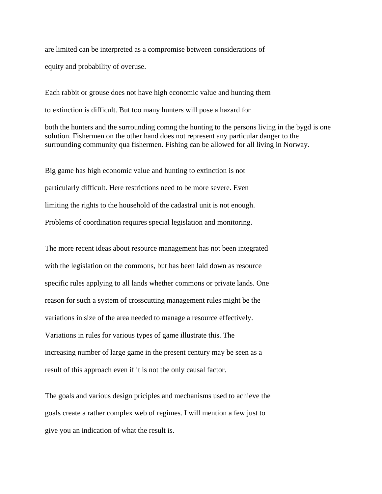are limited can be interpreted as a compromise between considerations of equity and probability of overuse.

Each rabbit or grouse does not have high economic value and hunting them to extinction is difficult. But too many hunters will pose a hazard for

both the hunters and the surrounding comng the hunting to the persons living in the bygd is one solution. Fishermen on the other hand does not represent any particular danger to the surrounding community qua fishermen. Fishing can be allowed for all living in Norway.

Big game has high economic value and hunting to extinction is not particularly difficult. Here restrictions need to be more severe. Even limiting the rights to the household of the cadastral unit is not enough. Problems of coordination requires special legislation and monitoring.

The more recent ideas about resource management has not been integrated with the legislation on the commons, but has been laid down as resource specific rules applying to all lands whether commons or private lands. One reason for such a system of crosscutting management rules might be the variations in size of the area needed to manage a resource effectively. Variations in rules for various types of game illustrate this. The increasing number of large game in the present century may be seen as a result of this approach even if it is not the only causal factor.

The goals and various design priciples and mechanisms used to achieve the goals create a rather complex web of regimes. I will mention a few just to give you an indication of what the result is.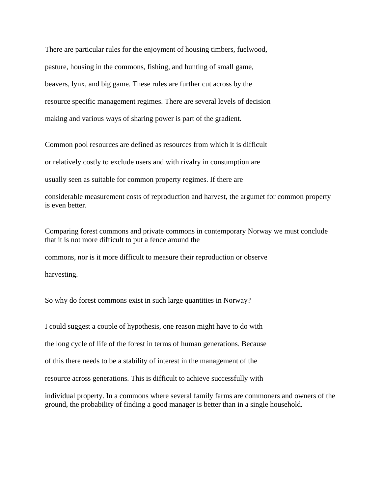There are particular rules for the enjoyment of housing timbers, fuelwood, pasture, housing in the commons, fishing, and hunting of small game, beavers, lynx, and big game. These rules are further cut across by the resource specific management regimes. There are several levels of decision making and various ways of sharing power is part of the gradient.

Common pool resources are defined as resources from which it is difficult or relatively costly to exclude users and with rivalry in consumption are usually seen as suitable for common property regimes. If there are

considerable measurement costs of reproduction and harvest, the argumet for common property is even better.

Comparing forest commons and private commons in contemporary Norway we must conclude that it is not more difficult to put a fence around the

commons, nor is it more difficult to measure their reproduction or observe

harvesting.

So why do forest commons exist in such large quantities in Norway?

I could suggest a couple of hypothesis, one reason might have to do with the long cycle of life of the forest in terms of human generations. Because of this there needs to be a stability of interest in the management of the resource across generations. This is difficult to achieve successfully with individual property. In a commons where several family farms are commoners and owners of the ground, the probability of finding a good manager is better than in a single household.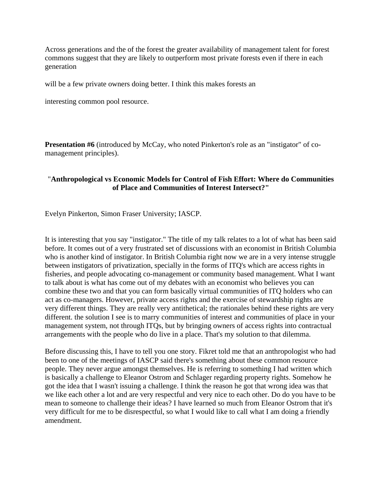Across generations and the of the forest the greater availability of management talent for forest commons suggest that they are likely to outperform most private forests even if there in each generation

will be a few private owners doing better. I think this makes forests an

interesting common pool resource.

**Presentation #6** (introduced by McCay, who noted Pinkerton's role as an "instigator" of comanagement principles).

## "**Anthropological vs Economic Models for Control of Fish Effort: Where do Communities of Place and Communities of Interest Intersect?"**

Evelyn Pinkerton, Simon Fraser University; IASCP.

It is interesting that you say "instigator." The title of my talk relates to a lot of what has been said before. It comes out of a very frustrated set of discussions with an economist in British Columbia who is another kind of instigator. In British Columbia right now we are in a very intense struggle between instigators of privatization, specially in the forms of ITQ's which are access rights in fisheries, and people advocating co-management or community based management. What I want to talk about is what has come out of my debates with an economist who believes you can combine these two and that you can form basically virtual communities of ITQ holders who can act as co-managers. However, private access rights and the exercise of stewardship rights are very different things. They are really very antithetical; the rationales behind these rights are very different. the solution I see is to marry communities of interest and communities of place in your management system, not through ITQs, but by bringing owners of access rights into contractual arrangements with the people who do live in a place. That's my solution to that dilemma.

Before discussing this, I have to tell you one story. Fikret told me that an anthropologist who had been to one of the meetings of IASCP said there's something about these common resource people. They never argue amongst themselves. He is referring to something I had written which is basically a challenge to Eleanor Ostrom and Schlager regarding property rights. Somehow he got the idea that I wasn't issuing a challenge. I think the reason he got that wrong idea was that we like each other a lot and are very respectful and very nice to each other. Do do you have to be mean to someone to challenge their ideas? I have learned so much from Eleanor Ostrom that it's very difficult for me to be disrespectful, so what I would like to call what I am doing a friendly amendment.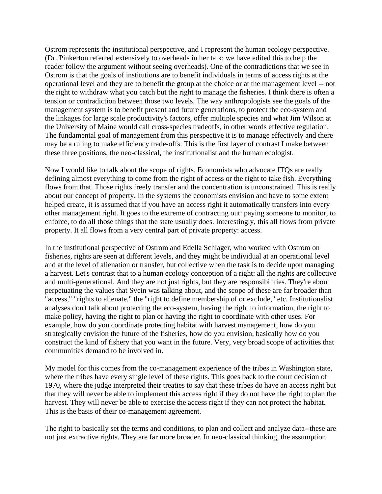Ostrom represents the institutional perspective, and I represent the human ecology perspective. (Dr. Pinkerton referred extensively to overheads in her talk; we have edited this to help the reader follow the argument without seeing overheads). One of the contradictions that we see in Ostrom is that the goals of institutions are to benefit individuals in terms of access rights at the operational level and they are to benefit the group at the choice or at the management level -- not the right to withdraw what you catch but the right to manage the fisheries. I think there is often a tension or contradiction between those two levels. The way anthropologists see the goals of the management system is to benefit present and future generations, to protect the eco-system and the linkages for large scale productivity's factors, offer multiple species and what Jim Wilson at the University of Maine would call cross-species tradeoffs, in other words effective regulation. The fundamental goal of management from this perspective it is to manage effectively and there may be a ruling to make efficiency trade-offs. This is the first layer of contrast I make between these three positions, the neo-classical, the institutionalist and the human ecologist.

Now I would like to talk about the scope of rights. Economists who advocate ITQs are really defining almost everything to come from the right of access or the right to take fish. Everything flows from that. Those rights freely transfer and the concentration is unconstrained. This is really about our concept of property. In the systems the economists envision and have to some extent helped create, it is assumed that if you have an access right it automatically transfers into every other management right. It goes to the extreme of contracting out: paying someone to monitor, to enforce, to do all those things that the state usually does. Interestingly, this all flows from private property. It all flows from a very central part of private property: access.

In the institutional perspective of Ostrom and Edella Schlager, who worked with Ostrom on fisheries, rights are seen at different levels, and they might be individual at an operational level and at the level of alienation or transfer, but collective when the task is to decide upon managing a harvest. Let's contrast that to a human ecology conception of a right: all the rights are collective and multi-generational. And they are not just rights, but they are responsibilities. They're about perpetuating the values that Svein was talking about, and the scope of these are far broader than "access," "rights to alienate," the "right to define membership of or exclude," etc. Institutionalist analyses don't talk about protecting the eco-system, having the right to information, the right to make policy, having the right to plan or having the right to coordinate with other uses. For example, how do you coordinate protecting habitat with harvest management, how do you strategically envision the future of the fisheries, how do you envision, basically how do you construct the kind of fishery that you want in the future. Very, very broad scope of activities that communities demand to be involved in.

My model for this comes from the co-management experience of the tribes in Washington state, where the tribes have every single level of these rights. This goes back to the court decision of 1970, where the judge interpreted their treaties to say that these tribes do have an access right but that they will never be able to implement this access right if they do not have the right to plan the harvest. They will never be able to exercise the access right if they can not protect the habitat. This is the basis of their co-management agreement.

The right to basically set the terms and conditions, to plan and collect and analyze data--these are not just extractive rights. They are far more broader. In neo-classical thinking, the assumption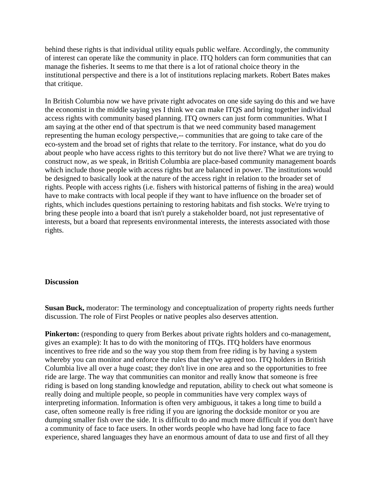behind these rights is that individual utility equals public welfare. Accordingly, the community of interest can operate like the community in place. ITQ holders can form communities that can manage the fisheries. It seems to me that there is a lot of rational choice theory in the institutional perspective and there is a lot of institutions replacing markets. Robert Bates makes that critique.

In British Columbia now we have private right advocates on one side saying do this and we have the economist in the middle saying yes I think we can make ITQS and bring together individual access rights with community based planning. ITQ owners can just form communities. What I am saying at the other end of that spectrum is that we need community based management representing the human ecology perspective,-- communities that are going to take care of the eco-system and the broad set of rights that relate to the territory. For instance, what do you do about people who have access rights to this territory but do not live there? What we are trying to construct now, as we speak, in British Columbia are place-based community management boards which include those people with access rights but are balanced in power. The institutions would be designed to basically look at the nature of the access right in relation to the broader set of rights. People with access rights (i.e. fishers with historical patterns of fishing in the area) would have to make contracts with local people if they want to have influence on the broader set of rights, which includes questions pertaining to restoring habitats and fish stocks. We're trying to bring these people into a board that isn't purely a stakeholder board, not just representative of interests, but a board that represents environmental interests, the interests associated with those rights.

#### **Discussion**

**Susan Buck,** moderator: The terminology and conceptualization of property rights needs further discussion. The role of First Peoples or native peoples also deserves attention.

**Pinkerton:** (responding to query from Berkes about private rights holders and co-management, gives an example): It has to do with the monitoring of ITQs. ITQ holders have enormous incentives to free ride and so the way you stop them from free riding is by having a system whereby you can monitor and enforce the rules that they've agreed too. ITQ holders in British Columbia live all over a huge coast; they don't live in one area and so the opportunities to free ride are large. The way that communities can monitor and really know that someone is free riding is based on long standing knowledge and reputation, ability to check out what someone is really doing and multiple people, so people in communities have very complex ways of interpreting information. Information is often very ambiguous, it takes a long time to build a case, often someone really is free riding if you are ignoring the dockside monitor or you are dumping smaller fish over the side. It is difficult to do and much more difficult if you don't have a community of face to face users. In other words people who have had long face to face experience, shared languages they have an enormous amount of data to use and first of all they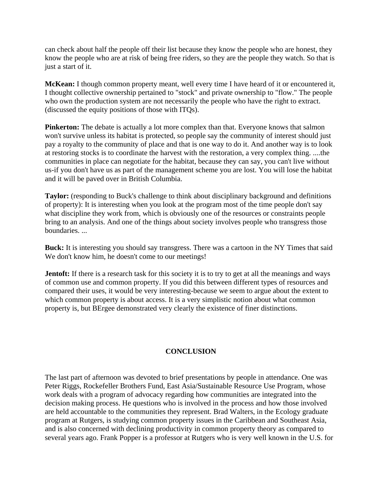can check about half the people off their list because they know the people who are honest, they know the people who are at risk of being free riders, so they are the people they watch. So that is just a start of it.

**McKean:** I though common property meant, well every time I have heard of it or encountered it, I thought collective ownership pertained to "stock" and private ownership to "flow." The people who own the production system are not necessarily the people who have the right to extract. (discussed the equity positions of those with ITQs).

**Pinkerton:** The debate is actually a lot more complex than that. Everyone knows that salmon won't survive unless its habitat is protected, so people say the community of interest should just pay a royalty to the community of place and that is one way to do it. And another way is to look at restoring stocks is to coordinate the harvest with the restoration, a very complex thing. ....the communities in place can negotiate for the habitat, because they can say, you can't live without us-if you don't have us as part of the management scheme you are lost. You will lose the habitat and it will be paved over in British Columbia.

**Taylor:** (responding to Buck's challenge to think about disciplinary background and definitions of property): It is interesting when you look at the program most of the time people don't say what discipline they work from, which is obviously one of the resources or constraints people bring to an analysis. And one of the things about society involves people who transgress those boundaries. ...

**Buck:** It is interesting you should say transgress. There was a cartoon in the NY Times that said We don't know him, he doesn't come to our meetings!

**Jentoft:** If there is a research task for this society it is to try to get at all the meanings and ways of common use and common property. If you did this between different types of resources and compared their uses, it would be very interesting-because we seem to argue about the extent to which common property is about access. It is a very simplistic notion about what common property is, but BErgee demonstrated very clearly the existence of finer distinctions.

# **CONCLUSION**

The last part of afternoon was devoted to brief presentations by people in attendance. One was Peter Riggs, Rockefeller Brothers Fund, East Asia/Sustainable Resource Use Program, whose work deals with a program of advocacy regarding how communities are integrated into the decision making process. He questions who is involved in the process and how those involved are held accountable to the communities they represent. Brad Walters, in the Ecology graduate program at Rutgers, is studying common property issues in the Caribbean and Southeast Asia, and is also concerned with declining productivity in common property theory as compared to several years ago. Frank Popper is a professor at Rutgers who is very well known in the U.S. for